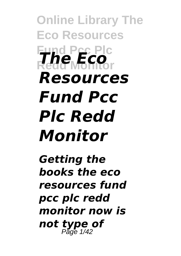**Online Library The Eco Resources Fund Pcc Plc Redd Monitor** *The Eco Resources Fund Pcc Plc Redd Monitor*

*Getting the books the eco resources fund pcc plc redd monitor now is not type of* Page 1/42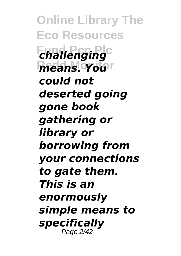**Online Library The Eco Resources**  $$ *<u>means. You</u>r could not deserted going gone book gathering or library or borrowing from your connections to gate them. This is an enormously simple means to specifically* Page 2/42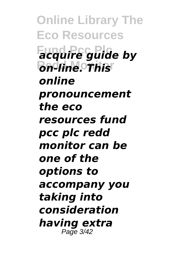**Online Library The Eco Resources Fund Pcc Plc** *acquire guide by* **Redd Monitor** *on-line. This online pronouncement the eco resources fund pcc plc redd monitor can be one of the options to accompany you taking into consideration having extra* Page 3/42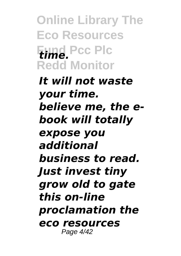**Online Library The Eco Resources Fund Pcc Plc** *time.* **Redd Monitor**

*It will not waste your time. believe me, the ebook will totally expose you additional business to read. Just invest tiny grow old to gate this on-line proclamation the eco resources* Page 4/42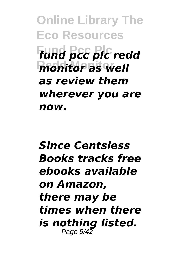**Online Library The Eco Resources Fund Pcc Plc** *fund pcc plc redd* **Redd Monitor** *monitor as well as review them wherever you are now.*

## *Since Centsless Books tracks free ebooks available on Amazon, there may be times when there is nothing listed.* Page 5/42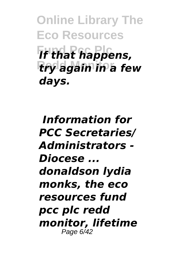**Online Library The Eco Resources Fund Pcc Plc** *If that happens,* **Redd Monitor** *try again in a few days.*

*Information for PCC Secretaries/ Administrators - Diocese ... donaldson lydia monks, the eco resources fund pcc plc redd monitor, lifetime* Page 6/42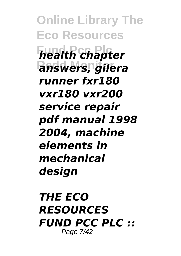**Online Library The Eco Resources Fund Pcc Plc** *health chapter* **Redd Monitor** *answers, gilera runner fxr180 vxr180 vxr200 service repair pdf manual 1998 2004, machine elements in mechanical design*

*THE ECO RESOURCES FUND PCC PLC ::* Page 7/42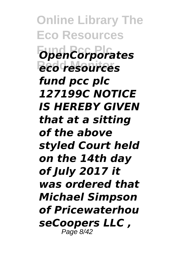**Online Library The Eco Resources Fund Pcc Plc** *OpenCorporates* **Redd Monitor** *eco resources fund pcc plc 127199C NOTICE IS HEREBY GIVEN that at a sitting of the above styled Court held on the 14th day of July 2017 it was ordered that Michael Simpson of Pricewaterhou seCoopers LLC ,* Page 8/42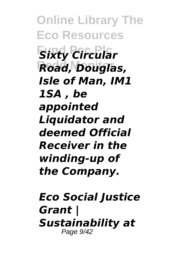**Online Library The Eco Resources** *<u>Sixty</u> Circular* **Redd Monitor** *Road, Douglas, Isle of Man, IM1 1SA , be appointed Liquidator and deemed Official Receiver in the winding-up of the Company.*

*Eco Social Justice Grant | Sustainability at* Page 9/42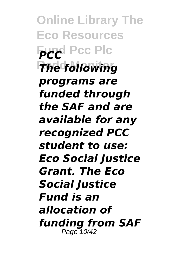**Online Library The Eco Resources Fund Pcc Plc The following** *programs are funded through the SAF and are available for any recognized PCC student to use: Eco Social Justice Grant. The Eco Social Justice Fund is an allocation of funding from SAF* Page 10/42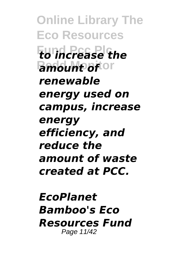**Online Library The Eco Resources Fund Pcc Plc** *to increase the <u>Amount offor</u> renewable energy used on campus, increase energy efficiency, and reduce the amount of waste created at PCC.*

*EcoPlanet Bamboo's Eco Resources Fund* Page 11/42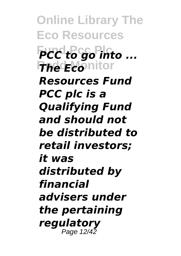**Online Library The Eco Resources PCC** to go into ... **The Eco**nitor *Resources Fund PCC plc is a Qualifying Fund and should not be distributed to retail investors; it was distributed by financial advisers under the pertaining regulatory* Page 12/42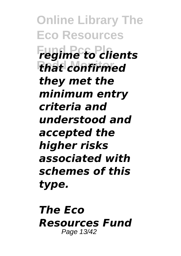**Online Library The Eco Resources Fund Pcc Plc** *regime to clients* **Redd Monitor** *that confirmed they met the minimum entry criteria and understood and accepted the higher risks associated with schemes of this type.*

*The Eco Resources Fund* Page 13/42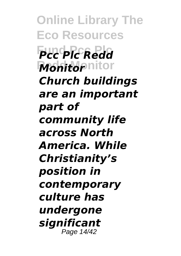**Online Library The Eco Resources Fund Pcc Plc** *Pcc Plc Redd* **Monitopnitor** *Church buildings are an important part of community life across North America. While Christianity's position in contemporary culture has undergone significant* Page 14/42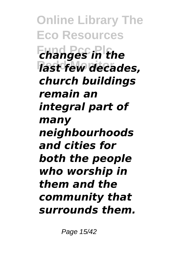**Online Library The Eco Resources Fund Pcc Plc** *changes in the* **Redd Monitor** *last few decades, church buildings remain an integral part of many neighbourhoods and cities for both the people who worship in them and the community that surrounds them.*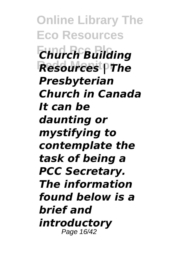**Online Library The Eco Resources Fund Pcc Plc** *Church Building* **Resources | The** *Presbyterian Church in Canada It can be daunting or mystifying to contemplate the task of being a PCC Secretary. The information found below is a brief and introductory* Page 16/42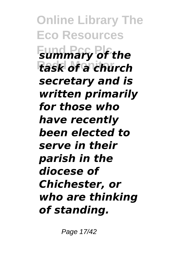**Online Library The Eco Resources Fummary of the Redd Monitor** *task of a church secretary and is written primarily for those who have recently been elected to serve in their parish in the diocese of Chichester, or who are thinking of standing.*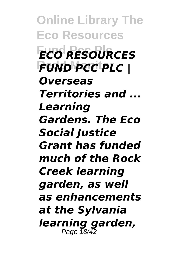**Online Library The Eco Resources Fund Pcc Plc** *ECO RESOURCES* **Redd Monitor** *FUND PCC PLC | Overseas Territories and ... Learning Gardens. The Eco Social Justice Grant has funded much of the Rock Creek learning garden, as well as enhancements at the Sylvania learning garden,* Page 18/42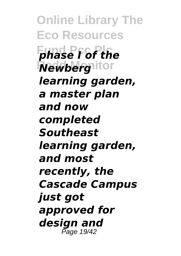**Online Library The Eco Resources Fund Pcc Plc** *phase I of the* **Rewberghitor** *learning garden, a master plan and now completed Southeast learning garden, and most recently, the Cascade Campus just got approved for design and* Page 19/42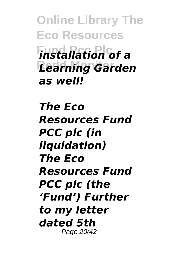**Online Library The Eco Resources Fund Pcc Plc** *installation of a* **Redd Monitor** *Learning Garden as well!*

*The Eco Resources Fund PCC plc (in liquidation) The Eco Resources Fund PCC plc (the 'Fund') Further to my letter dated 5th* Page 20/42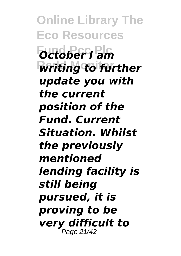**Online Library The Eco Resources Fund Pcc Plc** *October I am Writing to further update you with the current position of the Fund. Current Situation. Whilst the previously mentioned lending facility is still being pursued, it is proving to be very difficult to* Page 21/42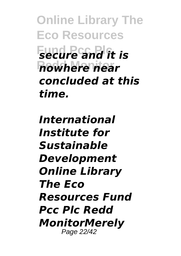**Online Library The Eco Resources Fund Prime and it is Redd Monitor** *nowhere near concluded at this time.*

*International Institute for Sustainable Development Online Library The Eco Resources Fund Pcc Plc Redd MonitorMerely* Page 22/42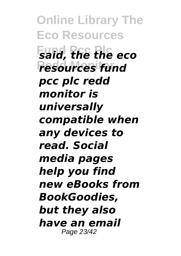**Online Library The Eco Resources Fund Pcc Plc** *said, the the eco* **Redd Monitor** *resources fund pcc plc redd monitor is universally compatible when any devices to read. Social media pages help you find new eBooks from BookGoodies, but they also have an email* Page 23/42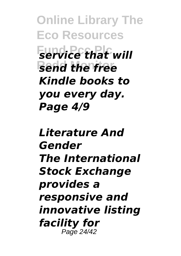**Online Library The Eco Resources Fundice that will** *send the free Kindle books to you every day. Page 4/9*

## *Literature And Gender The International Stock Exchange provides a responsive and innovative listing facility for* Page 24/42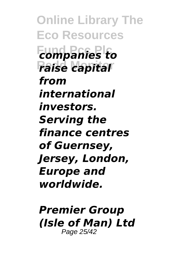**Online Library The Eco Resources Fund Pcc Plc** *companies to* **Redd Monitor** *raise capital from international investors. Serving the finance centres of Guernsey, Jersey, London, Europe and worldwide.*

*Premier Group (Isle of Man) Ltd* Page 25/42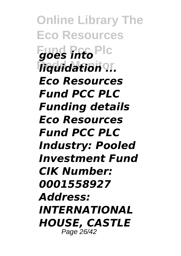**Online Library The Eco Resources Fund Pcc Plc** *goes into*  $\bar{h}$ *iquidation<sup>o</sup>... Eco Resources Fund PCC PLC Funding details Eco Resources Fund PCC PLC Industry: Pooled Investment Fund CIK Number: 0001558927 Address: INTERNATIONAL HOUSE, CASTLE* Page 26/42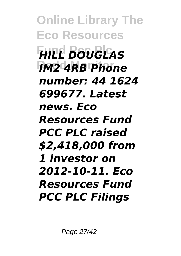**Online Library The Eco Resources Fund Pcc Plc** *HILL DOUGLAS* **Redd Monitor** *IM2 4RB Phone number: 44 1624 699677. Latest news. Eco Resources Fund PCC PLC raised \$2,418,000 from 1 investor on 2012-10-11. Eco Resources Fund PCC PLC Filings*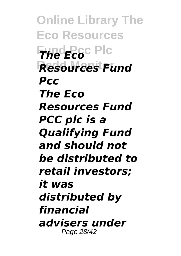**Online Library The Eco Resources Fund Pcc Plc** *The Eco* **Redd Monitor** *Resources Fund Pcc The Eco Resources Fund PCC plc is a Qualifying Fund and should not be distributed to retail investors; it was distributed by financial advisers under* Page 28/42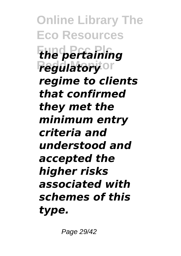**Online Library The Eco Resources Fund Pcc Plc** *the pertaining regulatory*or *regime to clients that confirmed they met the minimum entry criteria and understood and accepted the higher risks associated with schemes of this type.*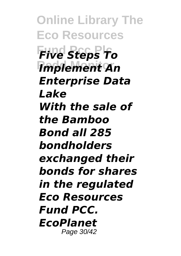**Online Library The Eco Resources Fund Pcc Plc** *Five Steps To* **Redd Monitor** *Implement An Enterprise Data Lake With the sale of the Bamboo Bond all 285 bondholders exchanged their bonds for shares in the regulated Eco Resources Fund PCC. EcoPlanet* Page 30/42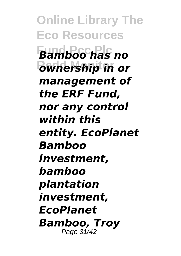**Online Library The Eco Resources Fund Pcc Plc** *Bamboo has no* **Redd Monitor** *ownership in or management of the ERF Fund, nor any control within this entity. EcoPlanet Bamboo Investment, bamboo plantation investment, EcoPlanet Bamboo, Troy* Page 31/42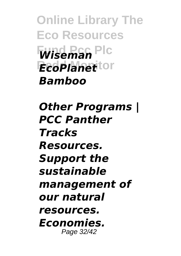**Online Library The Eco Resources Fund Pcc Plc** *Wiseman EcoPlanet* tor *Bamboo*

*Other Programs | PCC Panther Tracks Resources. Support the sustainable management of our natural resources. Economies.* Page 32/42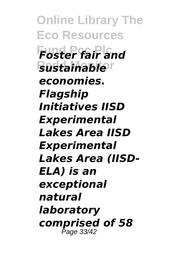**Online Library The Eco Resources Foster fair and Redd Monitor** *sustainable economies. Flagship Initiatives IISD Experimental Lakes Area IISD Experimental Lakes Area (IISD-ELA) is an exceptional natural laboratory comprised of 58* Page 33/42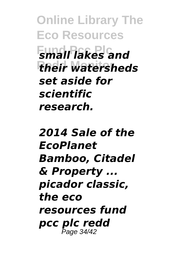**Online Library The Eco Resources Fund Pcc Plc** *small lakes and their watersheds set aside for scientific research.*

## *2014 Sale of the EcoPlanet Bamboo, Citadel & Property ... picador classic, the eco resources fund pcc plc redd* Page 34/42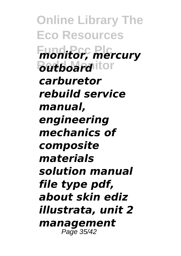**Online Library The Eco Resources Fund Pcc Plc** *monitor, mercury <u>Butboard</u>* itor *carburetor rebuild service manual, engineering mechanics of composite materials solution manual file type pdf, about skin ediz illustrata, unit 2 management* Page 35/42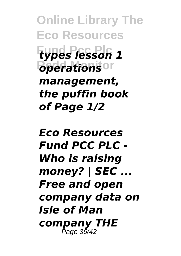**Online Library The Eco Resources Fund Pcc Plc** *types lesson 1 <u>B <i>operations*<sup>Or</sup></u> *management, the puffin book of Page 1/2*

*Eco Resources Fund PCC PLC - Who is raising money? | SEC ... Free and open company data on Isle of Man company THE* Page 36/42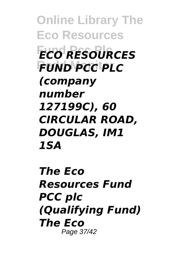**Online Library The Eco Resources Fund Pcc Plc** *ECO RESOURCES* **Redd Monitor** *FUND PCC PLC (company number 127199C), 60 CIRCULAR ROAD, DOUGLAS, IM1 1SA*

*The Eco Resources Fund PCC plc (Qualifying Fund) The Eco* Page 37/42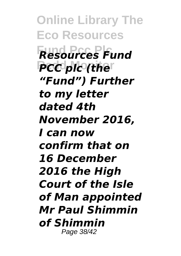**Online Library The Eco Resources Fund Pcc Plc** *Resources Fund* PCC plc (the<sup>r</sup> *"Fund") Further to my letter dated 4th November 2016, I can now confirm that on 16 December 2016 the High Court of the Isle of Man appointed Mr Paul Shimmin of Shimmin* Page 38/42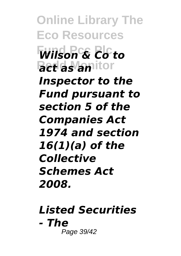**Online Library The Eco Resources Fund Pcc Plc** *Wilson & Co to <u>Bet</u> as anitor Inspector to the Fund pursuant to section 5 of the Companies Act 1974 and section 16(1)(a) of the Collective Schemes Act 2008.*

*Listed Securities - The* Page 39/42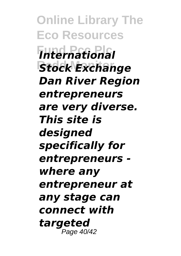**Online Library The Eco Resources Fund Pcc Plc** *International* **Stock Exchange** *Dan River Region entrepreneurs are very diverse. This site is designed specifically for entrepreneurs where any entrepreneur at any stage can connect with targeted* Page 40/42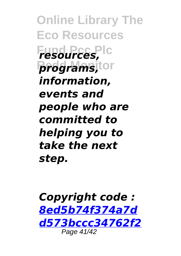**Online Library The Eco Resources Fund Pcc Plc** *resources,*  $$ *information, events and people who are committed to helping you to take the next step.*

*Copyright code : [8ed5b74f374a7d](/search-book/8ed5b74f374a7dd573bccc34762f2963) [d573bccc34762f2](/search-book/8ed5b74f374a7dd573bccc34762f2963)* Page 41/42